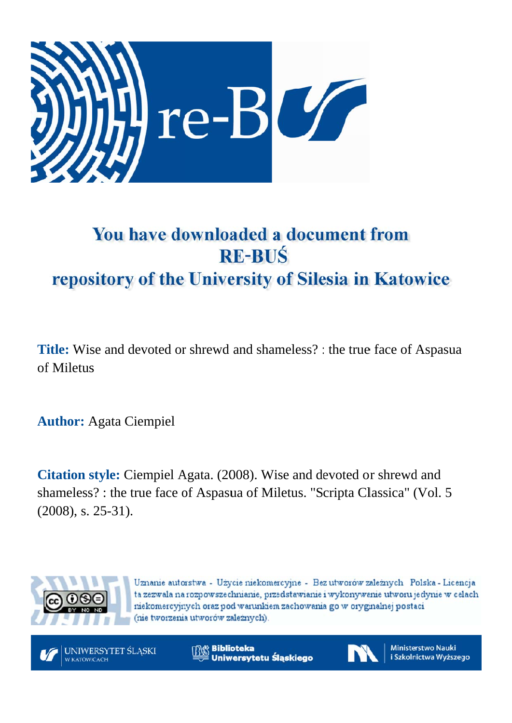

## You have downloaded a document from **RE-BUS** repository of the University of Silesia in Katowice

**Title:** Wise and devoted or shrewd and shameless? : the true face of Aspasua of f Miletus

of Miletus<br>**Author:** Agata Ciempiel

**Citation style:** Ciempiel Agata. (2008). Wise and devoted or shrewd and shameless? : the true face of Aspasua of Miletus. "Scripta Classica" (Vol. 5) (2 2008), s. 25-31).



Uznanie autorstwa - Użycie niekomercyjne - Bez utworów zależnych Polska - Licencja ta zezwala na rozpowszechnianie, przedstawianie i wykonywanie utworu jedynie w celach niekomercyjnych oraz pod warunkiem zachowania go w oryginalnej postaci (nie tworzenia utworów zależnych).

UNIWERSYTET ŚLĄSKI **V KATOWICACH** 

**Biblioteka** Uniwersytetu Śląskiego



**Ministerstwo Nauki** i Szkolnictwa Wyższego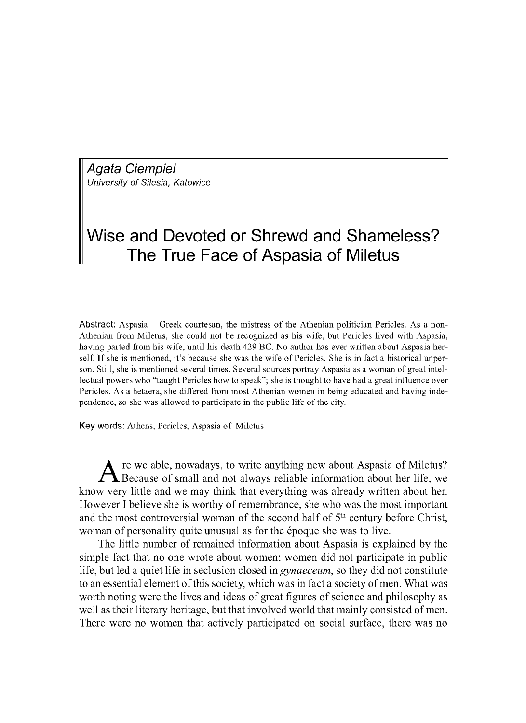*Agata Ciempiel University of Silesia, Katowice* 

## Wise and Devoted or Shrewd and Shameless? The True Face of Aspasia of Miletus

Abstract: Aspasia – Greek courtesan, the mistress of the Athenian politician Pericles. As a non-Athenian from Miletus, she could not be recognized as his wife, but Pericles lived with Aspasia, having parted from his wife, until his death 429 BC. No author has ever written about Aspasia herself. If she is mentioned, it's because she was the wife of Pericles. She is in fact a historical unperson. Still, she is mentioned several times. Several sources portray Aspasia as a woman of great intellectual powers who "taught Pericles how to speak"; she is thought to have had a great influence over Pericles. As a hetaera, she differed from most Athenian women in being educated and having independence, so she was allowed to participate in the public life of the city.

Key words: Athens, Pericles, Aspasia of Miletus

re we able, nowadays, to write anything new about Aspasia of Miletus? Because of small and not always reliable information about her life, we know very little and we may think that everything was already written about her. However I believe she is worthy of remembrance, she who was the most important and the most controversial woman of the second half of  $5<sup>th</sup>$  century before Christ, woman of personality quite unusual as for the epoque she was to live.

The little number of remained information about Aspasia is explained by the simple fact that no one wrote about women; women did not participate in public life, but led a quiet life in seclusion closed in *gynaeceum,* so they did not constitute to an essential element of this society, which was in fact a society of men. What was worth noting were the lives and ideas of great figures of science and philosophy as well as their literary heritage, but that involved world that mainly consisted of men. There were no women that actively participated on social surface, there was no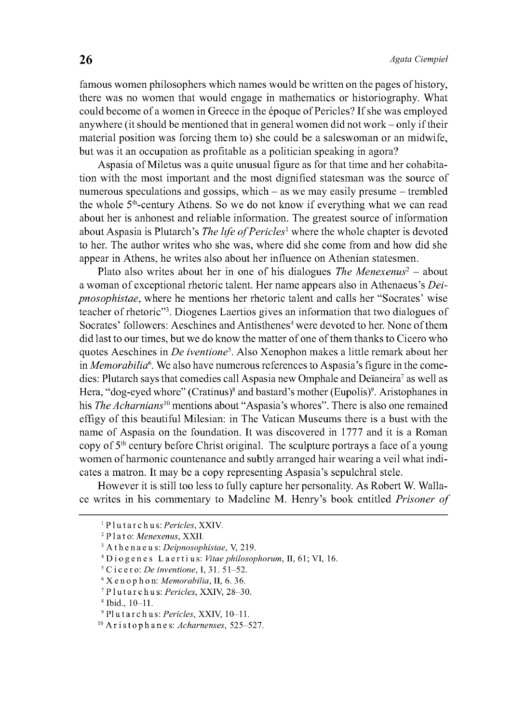famous women philosophers which names would be written on the pages of history, there was no women that would engage in mathematics or historiography. What could become of a women in Greece in the epoque of Pericles? If she was employed anywhere (it should be mentioned that in general women did not work - only if their material position was forcing them to) she could be a saleswoman or an midwife, but was it an occupation as profitable as a politician speaking in agora?

Aspasia of Miletus was a quite unusual figure as for that time and her cohabitation with the most important and the most dignified statesman was the source of numerous speculations and gossips, which  $-$  as we may easily presume  $-$  trembled the whole  $5<sup>th</sup>$ -century Athens. So we do not know if everything what we can read about her is anhonest and reliable information. The greatest source of information about Aspasia is Plutarch's *The life of Pericles<sup>1</sup>* where the whole chapter is devoted to her. The author writes who she was, where did she come from and how did she appear in Athens, he writes also about her influence on Athenian statesmen.

Plato also writes about her in one of his dialogues *The Menexenus*<sup>2</sup> – about a woman of exceptional rhetoric talent. Her name appears also in Athenaeus's *Deipnosophistae,* where he mentions her rhetoric talent and calls her "Socrates' wise teacher of rhetoric"3. Diogenes Laertios gives an information that two dialogues of Socrates' followers: Aeschines and Antisthenes<sup>4</sup> were devoted to her. None of them did last to our times, but we do know the matter of one of them thanks to Cicero who quotes Aeschines in *De iventione5.* Also Xenophon makes a little remark about her in *Memorabilia6.* We also have numerous references to Aspasia's figure in the comedies: Plutarch says that comedies call Aspasia new Omphale and Deïaneira<sup>7</sup> as well as Hera, "dog-eyed whore" (Cratinus)<sup>8</sup> and bastard's mother (Eupolis)<sup>9</sup>. Aristophanes in his *The Acharnians*10 mentions about "Aspasia's whores". There is also one remained effigy of this beautiful Milesian: in The Vatican Museums there is a bust with the name of Aspasia on the foundation. It was discovered in 1777 and it is a Roman copy of  $5<sup>th</sup>$  century before Christ original. The sculpture portrays a face of a young women of harmonic countenance and subtly arranged hair wearing a veil what indicates a matron. It may be a copy representing Aspasia's sepulchral stele.

However it is still too less to fully capture her personality. As Robert W. Wallace writes in his commentary to Madeline M. Henry's book entitled *Prisoner of* 

<sup>1</sup> Plutarchus: *Pericles,* XXIV.

<sup>2</sup> Plato: *Menexenus,* XXII.

<sup>3</sup> A t h e n a e u s : *Deipnosophistae,* V, 219.

<sup>4</sup> Diogenes Laertius: *Vitaephilosophorum,* II, 61; VI, 16.

 $5$  C i c e r o: *De inventione*, I, 31. 51–52.

<sup>6</sup> Xenophon: *Memorabilia,* II, 6. 36.

<sup>7</sup> Plutarchus: *Pericles,* XXIV, 28-30.

<sup>8</sup> Ibid., 10-11.

<sup>9</sup> Plutarchus: *Pericles,* XXIV, 10-11.

<sup>10</sup> Aristophanes: *Acharnenses,* 525-527.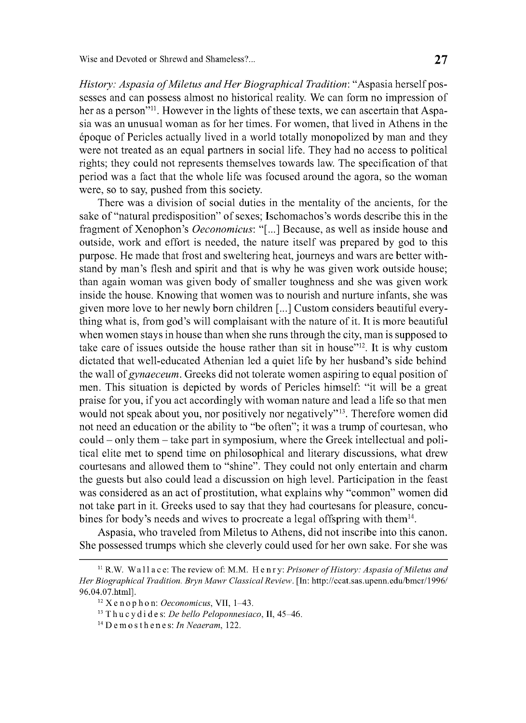Wise and Devoted or Shrewd and Shameless?...

*History: Aspasia of Miletus and Her Biographical Tradition*: "Aspasia herself possesses and can possess almost no historical reality. We can form no impression of her as a person<sup>"11</sup>. However in the lights of these texts, we can ascertain that Aspasia was an unusual woman as for her times. For women, that lived in Athens in the epoque of Pericles actually lived in a world totally monopolized by man and they were not treated as an equal partners in social life. They had no access to political rights; they could not represents themselves towards law. The specification of that period was a fact that the whole life was focused around the agora, so the woman were, so to say, pushed from this society.

There was a division of social duties in the mentality of the ancients, for the sake of "natural predisposition" of sexes; Ischomachos's words describe this in the fragment of Xenophon's *Oeconomicus:* "[...] Because, as well as inside house and outside, work and effort is needed, the nature itself was prepared by god to this purpose. He made that frost and sweltering heat, journeys and wars are better withstand by man's flesh and spirit and that is why he was given work outside house; than again woman was given body of smaller toughness and she was given work inside the house. Knowing that women was to nourish and nurture infants, she was given more love to her newly born children [...] Custom considers beautiful everything what is, from god's will complaisant with the nature of it. It is more beautiful when women stays in house than when she runs through the city, man is supposed to take care of issues outside the house rather than sit in house"12. It is why custom dictated that well-educated Athenian led a quiet life by her husband's side behind the wall of *gynaeceum.* Greeks did not tolerate women aspiring to equal position of men. This situation is depicted by words of Pericles himself: "it will be a great praise for you, if you act accordingly with woman nature and lead a life so that men would not speak about you, nor positively nor negatively"<sup>13</sup>. Therefore women did not need an education or the ability to "be often"; it was a trump of courtesan, who could - only them - take part in symposium, where the Greek intellectual and political elite met to spend time on philosophical and literary discussions, what drew courtesans and allowed them to "shine". They could not only entertain and charm the guests but also could lead a discussion on high level. Participation in the feast was considered as an act of prostitution, what explains why "common" women did not take part in it. Greeks used to say that they had courtesans for pleasure, concubines for body's needs and wives to procreate a legal offspring with them<sup>14</sup>.

Aspasia, who traveled from Miletus to Athens, did not inscribe into this canon. She possessed trumps which she cleverly could used for her own sake. For she was

<sup>&</sup>lt;sup>11</sup> R.W. Wallace: The review of: M.M. Henry: *Prisoner of History: Aspasia of Miletus and Her Biographical Tradition. Bryn Mawr Classical Review.* [In: <http://ccat.sas.upenn.edu/bmcr/1996/> 96.04.07.html].

<sup>12</sup> Xenophon: *Oeconomicus,* VII, 1-43.

<sup>13</sup> Thucydides: *De bello Peloponnesiaco,* II, 45-46.

<sup>14</sup> Demosthenes: *In Neaeram,* 122.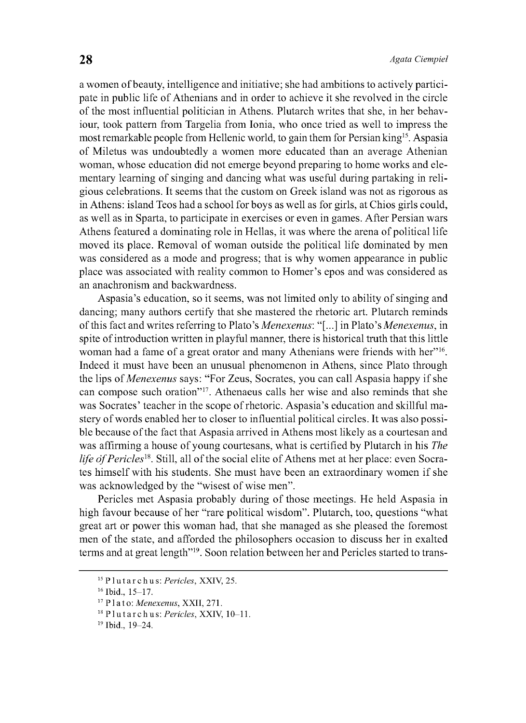a women of beauty, intelligence and initiative; she had ambitions to actively participate in public life of Athenians and in order to achieve it she revolved in the circle of the most influential politician in Athens. Plutarch writes that she, in her behaviour, took pattern from Targelia from Ionia, who once tried as well to impress the most remarkable people from Hellenic world, to gain them for Persian king15. Aspasia of Miletus was undoubtedly a women more educated than an average Athenian woman, whose education did not emerge beyond preparing to home works and elementary learning of singing and dancing what was useful during partaking in religious celebrations. It seems that the custom on Greek island was not as rigorous as in Athens: island Teos had a school for boys as well as for girls, at Chios girls could, as well as in Sparta, to participate in exercises or even in games. After Persian wars Athens featured a dominating role in Hellas, it was where the arena of political life moved its place. Removal of woman outside the political life dominated by men was considered as a mode and progress; that is why women appearance in public place was associated with reality common to Homer's epos and was considered as an anachronism and backwardness.

Aspasia's education, so it seems, was not limited only to ability of singing and dancing; many authors certify that she mastered the rhetoric art. Plutarch reminds of this fact and writes referring to Plato's *Menexenus:* "[...] in Plato's *Menexenus,* in spite of introduction written in playful manner, there is historical truth that this little woman had a fame of a great orator and many Athenians were friends with her"<sup>16</sup>. Indeed it must have been an unusual phenomenon in Athens, since Plato through the lips of *Menexenus* says: "For Zeus, Socrates, you can call Aspasia happy if she can compose such oration"17. Athenaeus calls her wise and also reminds that she was Socrates' teacher in the scope of rhetoric. Aspasia's education and skillful mastery of words enabled her to closer to influential political circles. It was also possible because of the fact that Aspasia arrived in Athens most likely as a courtesan and was affirming a house of young courtesans, what is certified by Plutarch in his *The life of Pericles*<sup>18</sup>. Still, all of the social elite of Athens met at her place: even Socrates himself with his students. She must have been an extraordinary women if she was acknowledged by the "wisest of wise men".

Pericles met Aspasia probably during of those meetings. He held Aspasia in high favour because of her "rare political wisdom". Plutarch, too, questions "what great art or power this woman had, that she managed as she pleased the foremost men of the state, and afforded the philosophers occasion to discuss her in exalted terms and at great length"19. Soon relation between her and Pericles started to trans-

<sup>15</sup> Plutarchus: *Pericles,* XXIV, 25.

<sup>16</sup> Ibid., 15-17.

<sup>17</sup> Plato: *Menexenus,* XXII, 271.

<sup>18</sup> Plutarchus: *Pericles,* XXIV, 10-11.

<sup>&</sup>lt;sup>19</sup> Ibid., 19-24.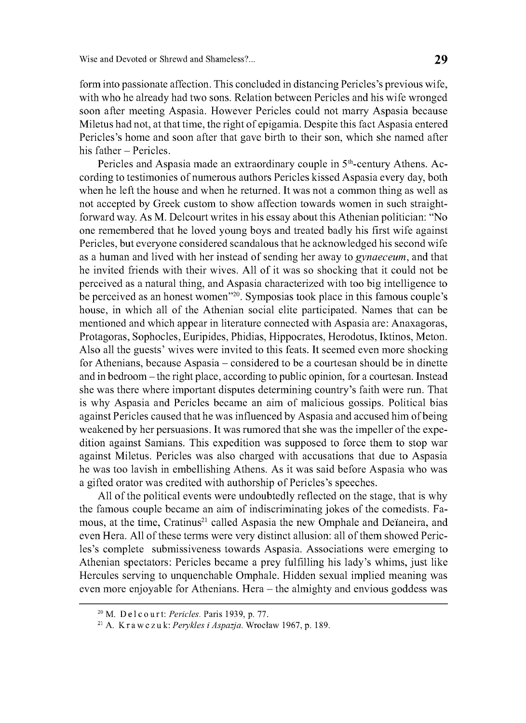form into passionate affection. This concluded in distancing Pericles's previous wife, with who he already had two sons. Relation between Pericles and his wife wronged soon after meeting Aspasia. However Pericles could not marry Aspasia because Miletus had not, at that time, the right of epigamia. Despite this fact Aspasia entered Pericles's home and soon after that gave birth to their son, which she named after his father - Pericles.

Pericles and Aspasia made an extraordinary couple in  $5<sup>th</sup>$ -century Athens. According to testimonies of numerous authors Pericles kissed Aspasia every day, both when he left the house and when he returned. It was not a common thing as well as not accepted by Greek custom to show affection towards women in such straightforward way. As M. Delcourt writes in his essay about this Athenian politician: "No one remembered that he loved young boys and treated badly his first wife against Pericles, but everyone considered scandalous that he acknowledged his second wife as a human and lived with her instead of sending her away to *gynaeceum,* and that he invited friends with their wives. All of it was so shocking that it could not be perceived as a natural thing, and Aspasia characterized with too big intelligence to be perceived as an honest women<sup>"20</sup>. Symposias took place in this famous couple's house, in which all of the Athenian social elite participated. Names that can be mentioned and which appear in literature connected with Aspasia are: Anaxagoras, Protagoras, Sophocles, Euripides, Phidias, Hippocrates, Herodotus, Iktinos, Meton. Also all the guests' wives were invited to this feats. It seemed even more shocking for Athenians, because Aspasia - considered to be a courtesan should be in dinette and in bedroom - the right place, according to public opinion, for a courtesan. Instead she was there where important disputes determining country's faith were run. That is why Aspasia and Pericles became an aim of malicious gossips. Political bias against Pericles caused that he was influenced by Aspasia and accused him of being weakened by her persuasions. It was rumored that she was the impeller of the expedition against Samians. This expedition was supposed to force them to stop war against Miletus. Pericles was also charged with accusations that due to Aspasia he was too lavish in embellishing Athens. As it was said before Aspasia who was a gifted orator was credited with authorship of Pericles's speeches.

All of the political events were undoubtedly reflected on the stage, that is why the famous couple became an aim of indiscriminating jokes of the comedists. Famous, at the time, Cratinus<sup>21</sup> called Aspasia the new Omphale and Deïaneira, and even Hera. All of these terms were very distinct allusion: all of them showed Pericles's complete submissiveness towards Aspasia. Associations were emerging to Athenian spectators: Pericles became a prey fulfilling his lady's whims, just like Hercules serving to unquenchable Omphale. Hidden sexual implied meaning was even more enjoyable for Athenians. Hera – the almighty and envious goddess was

<sup>20</sup> M. Delcourt: *Pericles.* Paris 1939, p. 77.

<sup>21</sup> A. Krawczuk: *Perykles iAspazja.* Wroclaw 1967, p. 189.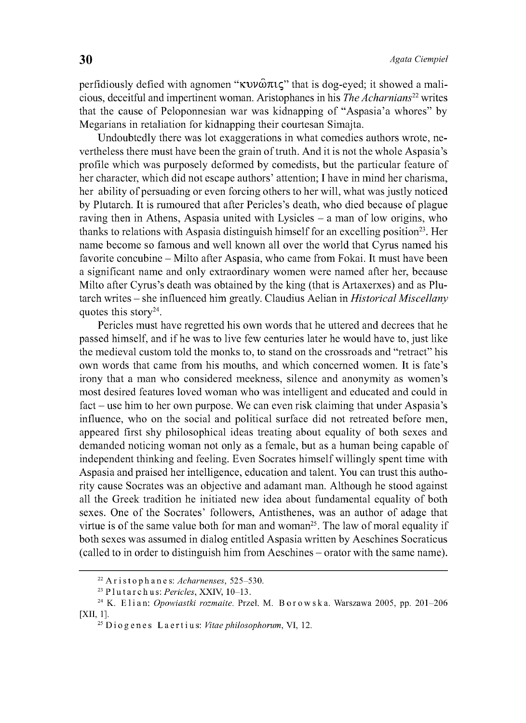perfidiously defied with agnomen " $\kappa \nu \omega \pi \iota \zeta$ " that is dog-eyed; it showed a malicious, deceitful and impertinent woman. Aristophanes in his *The Acharnians*<sup>22</sup> writes that the cause of Peloponnesian war was kidnapping of "Aspasia'a whores" by Megarians in retaliation for kidnapping their courtesan Simajta.

Undoubtedly there was lot exaggerations in what comedies authors wrote, nevertheless there must have been the grain of truth. And it is not the whole Aspasia's profile which was purposely deformed by comedists, but the particular feature of her character, which did not escape authors' attention; I have in mind her charisma, her ability of persuading or even forcing others to her will, what was justly noticed by Plutarch. It is rumoured that after Pericles's death, who died because of plague raving then in Athens, Aspasia united with Lysicles  $-$  a man of low origins, who thanks to relations with Aspasia distinguish himself for an excelling position<sup>23</sup>. Her name become so famous and well known all over the world that Cyrus named his favorite concubine - Milto after Aspasia, who came from Fokai. It must have been a significant name and only extraordinary women were named after her, because Milto after Cyrus's death was obtained by the king (that is Artaxerxes) and as Plutarch writes - she influenced him greatly. Claudius Aelian in *Historical Miscellany* quotes this story<sup>24</sup>.

Pericles must have regretted his own words that he uttered and decrees that he passed himself, and if he was to live few centuries later he would have to, just like the medieval custom told the monks to, to stand on the crossroads and "retract" his own words that came from his mouths, and which concerned women. It is fate's irony that a man who considered meekness, silence and anonymity as women's most desired features loved woman who was intelligent and educated and could in fact – use him to her own purpose. We can even risk claiming that under Aspasia's influence, who on the social and political surface did not retreated before men, appeared first shy philosophical ideas treating about equality of both sexes and demanded noticing woman not only as a female, but as a human being capable of independent thinking and feeling. Even Socrates himself willingly spent time with Aspasia and praised her intelligence, education and talent. You can trust this authority cause Socrates was an objective and adamant man. Although he stood against all the Greek tradition he initiated new idea about fundamental equality of both sexes. One of the Socrates' followers, Antisthenes, was an author of adage that virtue is of the same value both for man and woman<sup>25</sup>. The law of moral equality if both sexes was assumed in dialog entitled Aspasia written by Aeschines Socraticus (called to in order to distinguish him from Aeschines - orator with the same name).

<sup>22</sup> Aristophanes: *Acharnenses,* 525-530.

<sup>23</sup> Plutarchus: *Pericles,* XXIV, 10-13.

<sup>&</sup>lt;sup>24</sup> K. Elian: *Opowiastki rozmaite*. Przeł. M. Borowska. Warszawa 2005, pp. 201-206 [XII, 1].

<sup>25</sup> Diogenes Laertius: *Vitaephilosophorum,* VI, 12.